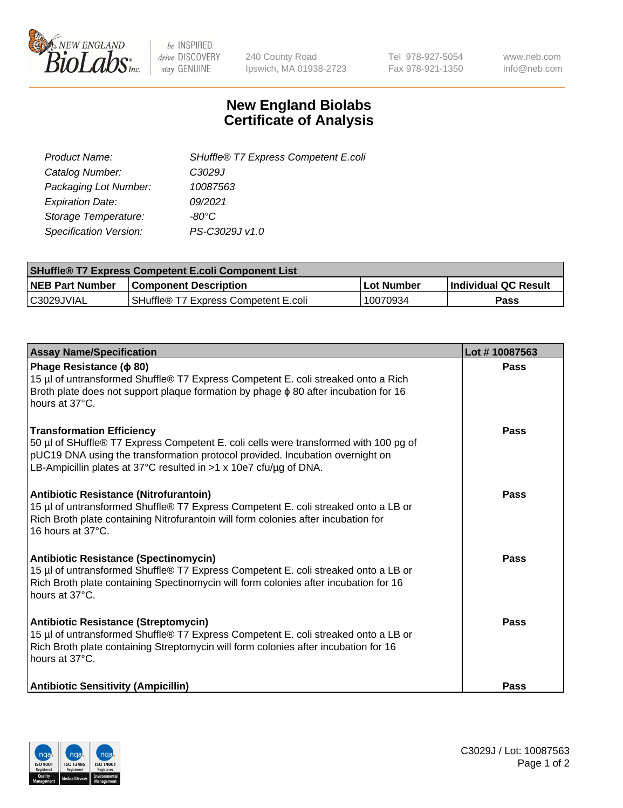

 $be$  INSPIRED drive DISCOVERY stay GENUINE

240 County Road Ipswich, MA 01938-2723 Tel 978-927-5054 Fax 978-921-1350 www.neb.com info@neb.com

## **New England Biolabs Certificate of Analysis**

| SHuffle® T7 Express Competent E.coli |
|--------------------------------------|
| C3029J                               |
| 10087563                             |
| 09/2021                              |
| -80°C.                               |
| PS-C3029J v1.0                       |
|                                      |

| <b>SHuffle® T7 Express Competent E.coli Component List</b> |                                      |                   |                             |  |
|------------------------------------------------------------|--------------------------------------|-------------------|-----------------------------|--|
| <b>NEB Part Number</b>                                     | <b>Component Description</b>         | <b>Lot Number</b> | <b>Individual QC Result</b> |  |
| C3029JVIAL                                                 | SHuffle® T7 Express Competent E.coli | 10070934          | <b>Pass</b>                 |  |

| <b>Assay Name/Specification</b>                                                                                                                                                                                                                                                | Lot #10087563 |
|--------------------------------------------------------------------------------------------------------------------------------------------------------------------------------------------------------------------------------------------------------------------------------|---------------|
| Phage Resistance ( $\phi$ 80)<br>15 µl of untransformed Shuffle® T7 Express Competent E. coli streaked onto a Rich<br>Broth plate does not support plaque formation by phage $\phi$ 80 after incubation for 16<br>hours at 37°C.                                               | <b>Pass</b>   |
| <b>Transformation Efficiency</b><br>50 µl of SHuffle® T7 Express Competent E. coli cells were transformed with 100 pg of<br>pUC19 DNA using the transformation protocol provided. Incubation overnight on<br>LB-Ampicillin plates at 37°C resulted in >1 x 10e7 cfu/ug of DNA. | Pass          |
| Antibiotic Resistance (Nitrofurantoin)<br>15 µl of untransformed Shuffle® T7 Express Competent E. coli streaked onto a LB or<br>Rich Broth plate containing Nitrofurantoin will form colonies after incubation for<br>16 hours at 37°C.                                        | Pass          |
| <b>Antibiotic Resistance (Spectinomycin)</b><br>15 µl of untransformed Shuffle® T7 Express Competent E. coli streaked onto a LB or<br>Rich Broth plate containing Spectinomycin will form colonies after incubation for 16<br>hours at 37°C.                                   | Pass          |
| Antibiotic Resistance (Streptomycin)<br>15 µl of untransformed Shuffle® T7 Express Competent E. coli streaked onto a LB or<br>Rich Broth plate containing Streptomycin will form colonies after incubation for 16<br>hours at 37°C.                                            | Pass          |
| <b>Antibiotic Sensitivity (Ampicillin)</b>                                                                                                                                                                                                                                     | Pass          |